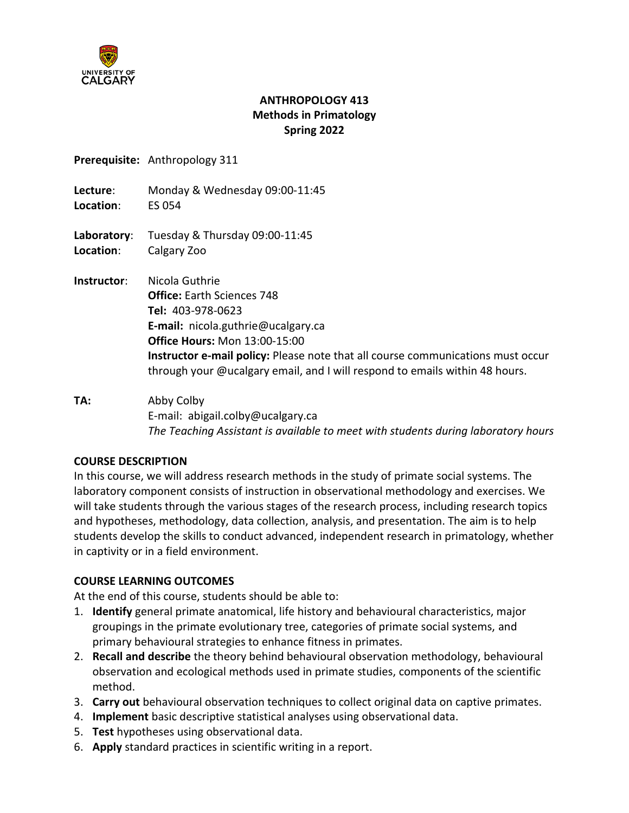

### **ANTHROPOLOGY 413 Methods in Primatology Spring 2022**

**Prerequisite:** Anthropology 311

**Lecture**: Monday & Wednesday 09:00-11:45 **Location**: ES 054

**Laboratory**: Tuesday & Thursday 09:00-11:45 **Location**: Calgary Zoo

- **Instructor**: Nicola Guthrie **Office:** Earth Sciences 748 **Tel:** 403-978-0623 **E-mail:** nicola.guthrie@ucalgary.ca **Office Hours:** Mon 13:00-15:00 **Instructor e-mail policy:** Please note that all course communications must occur through your @ucalgary email, and I will respond to emails within 48 hours.
- **TA:** Abby Colby E-mail: abigail.colby@ucalgary.ca *The Teaching Assistant is available to meet with students during laboratory hours*

### **COURSE DESCRIPTION**

In this course, we will address research methods in the study of primate social systems. The laboratory component consists of instruction in observational methodology and exercises. We will take students through the various stages of the research process, including research topics and hypotheses, methodology, data collection, analysis, and presentation. The aim is to help students develop the skills to conduct advanced, independent research in primatology, whether in captivity or in a field environment.

### **COURSE LEARNING OUTCOMES**

At the end of this course, students should be able to:

- 1. **Identify** general primate anatomical, life history and behavioural characteristics, major groupings in the primate evolutionary tree, categories of primate social systems, and primary behavioural strategies to enhance fitness in primates.
- 2. **Recall and describe** the theory behind behavioural observation methodology, behavioural observation and ecological methods used in primate studies, components of the scientific method.
- 3. **Carry out** behavioural observation techniques to collect original data on captive primates.
- 4. **Implement** basic descriptive statistical analyses using observational data.
- 5. **Test** hypotheses using observational data.
- 6. **Apply** standard practices in scientific writing in a report.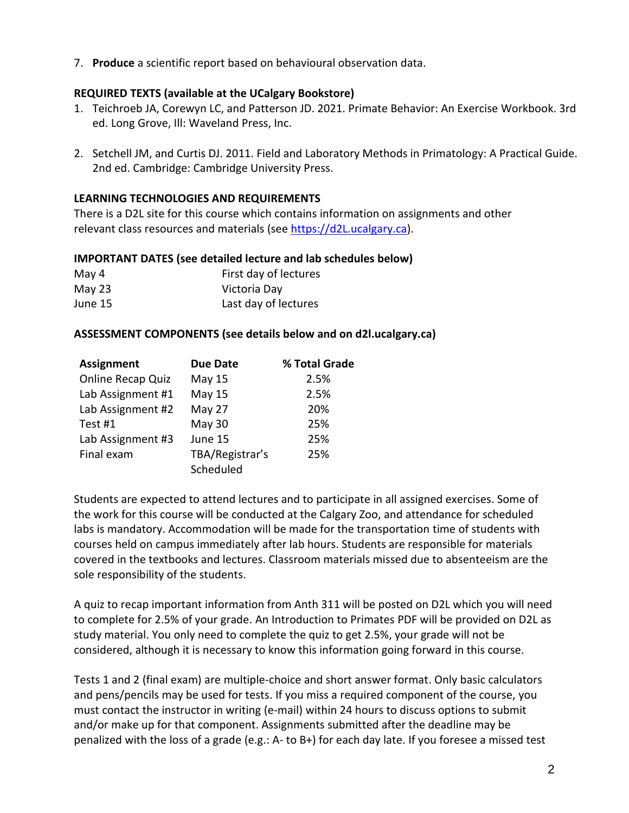7. **Produce** a scientific report based on behavioural observation data.

### **REQUIRED TEXTS (available at the UCalgary Bookstore)**

- 1. Teichroeb JA, Corewyn LC, and Patterson JD. 2021. Primate Behavior: An Exercise Workbook. 3rd ed. Long Grove, Ill: Waveland Press, Inc.
- 2. Setchell JM, and Curtis DJ. 2011. Field and Laboratory Methods in Primatology: A Practical Guide. 2nd ed. Cambridge: Cambridge University Press.

### **LEARNING TECHNOLOGIES AND REQUIREMENTS**

There is a D2L site for this course which contains information on assignments and other relevant class resources and materials (see [https://d2L.ucalgary.ca\)](https://d2l.ucalgary.ca/).

### **IMPORTANT DATES (see detailed lecture and lab schedules below)**

| May 4   | First day of lectures |
|---------|-----------------------|
| May 23  | Victoria Day          |
| June 15 | Last day of lectures  |

### **ASSESSMENT COMPONENTS (see details below and on d2l.ucalgary.ca)**

| <b>Assignment</b>        | <b>Due Date</b> | % Total Grade |
|--------------------------|-----------------|---------------|
| <b>Online Recap Quiz</b> | May 15          | 2.5%          |
| Lab Assignment #1        | <b>May 15</b>   | 2.5%          |
| Lab Assignment #2        | May 27          | 20%           |
| Test #1                  | <b>May 30</b>   | 25%           |
| Lab Assignment #3        | June 15         | 25%           |
| Final exam               | TBA/Registrar's | 25%           |
|                          | Scheduled       |               |

Students are expected to attend lectures and to participate in all assigned exercises. Some of the work for this course will be conducted at the Calgary Zoo, and attendance for scheduled labs is mandatory. Accommodation will be made for the transportation time of students with courses held on campus immediately after lab hours. Students are responsible for materials covered in the textbooks and lectures. Classroom materials missed due to absenteeism are the sole responsibility of the students.

A quiz to recap important information from Anth 311 will be posted on D2L which you will need to complete for 2.5% of your grade. An Introduction to Primates PDF will be provided on D2L as study material. You only need to complete the quiz to get 2.5%, your grade will not be considered, although it is necessary to know this information going forward in this course.

Tests 1 and 2 (final exam) are multiple-choice and short answer format. Only basic calculators and pens/pencils may be used for tests. If you miss a required component of the course, you must contact the instructor in writing (e-mail) within 24 hours to discuss options to submit and/or make up for that component. Assignments submitted after the deadline may be penalized with the loss of a grade (e.g.: A- to B+) for each day late. If you foresee a missed test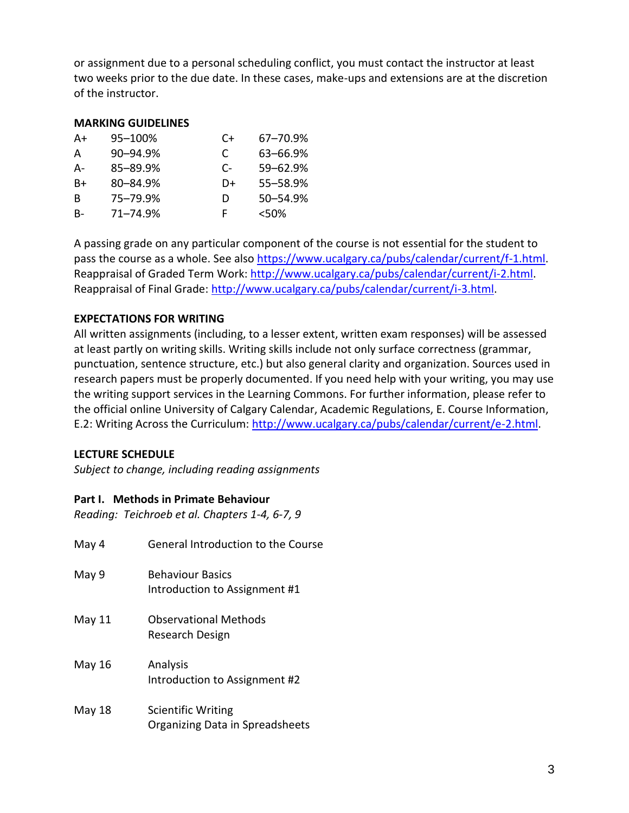or assignment due to a personal scheduling conflict, you must contact the instructor at least two weeks prior to the due date. In these cases, make-ups and extensions are at the discretion of the instructor.

#### **MARKING GUIDELINES**

| A+ | 95-100%  | C+ | 67–70.9% |
|----|----------|----|----------|
| A  | 90-94.9% | C  | 63-66.9% |
| А- | 85-89.9% | C- | 59-62.9% |
| B+ | 80-84.9% | D+ | 55-58.9% |
| B  | 75-79.9% | D  | 50-54.9% |
| B- | 71-74.9% | F  | < 50%    |

A passing grade on any particular component of the course is not essential for the student to pass the course as a whole. See also [https://www.ucalgary.ca/pubs/calendar/current/f-1.html.](https://www.ucalgary.ca/pubs/calendar/current/f-1.html) Reappraisal of Graded Term Work: [http://www.ucalgary.ca/pubs/calendar/current/i-2.html.](http://www.ucalgary.ca/pubs/calendar/current/i-2.html) Reappraisal of Final Grade: [http://www.ucalgary.ca/pubs/calendar/current/i-3.html.](http://www.ucalgary.ca/pubs/calendar/current/i-3.html)

#### **EXPECTATIONS FOR WRITING**

All written assignments (including, to a lesser extent, written exam responses) will be assessed at least partly on writing skills. Writing skills include not only surface correctness (grammar, punctuation, sentence structure, etc.) but also general clarity and organization. Sources used in research papers must be properly documented. If you need help with your writing, you may use the writing support services in the Learning Commons. For further information, please refer to the official online University of Calgary Calendar, Academic Regulations, E. Course Information, E.2: Writing Across the Curriculum: [http://www.ucalgary.ca/pubs/calendar/current/e-2.html.](http://www.ucalgary.ca/pubs/calendar/current/e-2.html)

#### **LECTURE SCHEDULE**

*Subject to change, including reading assignments*

#### **Part I. Methods in Primate Behaviour**

*Reading: Teichroeb et al. Chapters 1-4, 6-7, 9*

| May 4  | <b>General Introduction to the Course</b>                    |
|--------|--------------------------------------------------------------|
| May 9  | <b>Behaviour Basics</b><br>Introduction to Assignment #1     |
| May 11 | <b>Observational Methods</b><br>Research Design              |
| May 16 | Analysis<br>Introduction to Assignment #2                    |
| May 18 | <b>Scientific Writing</b><br>Organizing Data in Spreadsheets |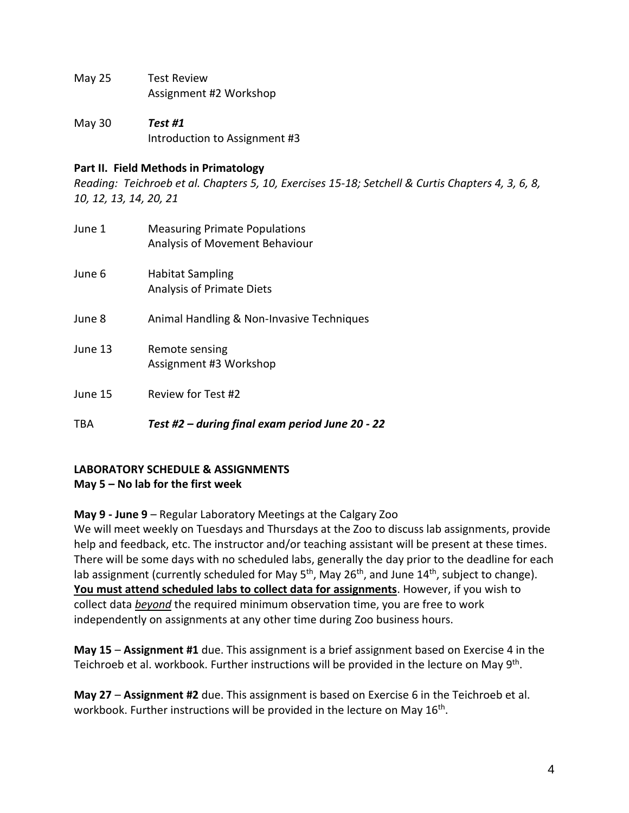- May 25 Test Review Assignment #2 Workshop
- May 30 *Test #1* Introduction to Assignment #3

#### **Part II. Field Methods in Primatology**

*Reading: Teichroeb et al. Chapters 5, 10, Exercises 15-18; Setchell & Curtis Chapters 4, 3, 6, 8, 10, 12, 13, 14, 20, 21*

June 1 Measuring Primate Populations Analysis of Movement Behaviour June 6 Habitat Sampling Analysis of Primate Diets June 8 Animal Handling & Non-Invasive Techniques June 13 Remote sensing Assignment #3 Workshop June 15 Review for Test #2 TBA *Test #2 – during final exam period June 20 - 22*

### **LABORATORY SCHEDULE & ASSIGNMENTS May 5 – No lab for the first week**

**May 9 - June 9** – Regular Laboratory Meetings at the Calgary Zoo

We will meet weekly on Tuesdays and Thursdays at the Zoo to discuss lab assignments, provide help and feedback, etc. The instructor and/or teaching assistant will be present at these times. There will be some days with no scheduled labs, generally the day prior to the deadline for each lab assignment (currently scheduled for May 5<sup>th</sup>, May 26<sup>th</sup>, and June 14<sup>th</sup>, subject to change). **You must attend scheduled labs to collect data for assignments**. However, if you wish to collect data *beyond* the required minimum observation time, you are free to work independently on assignments at any other time during Zoo business hours.

**May 15** – **Assignment #1** due. This assignment is a brief assignment based on Exercise 4 in the Teichroeb et al. workbook. Further instructions will be provided in the lecture on May 9<sup>th</sup>.

**May 27** – **Assignment #2** due. This assignment is based on Exercise 6 in the Teichroeb et al. workbook. Further instructions will be provided in the lecture on May 16<sup>th</sup>.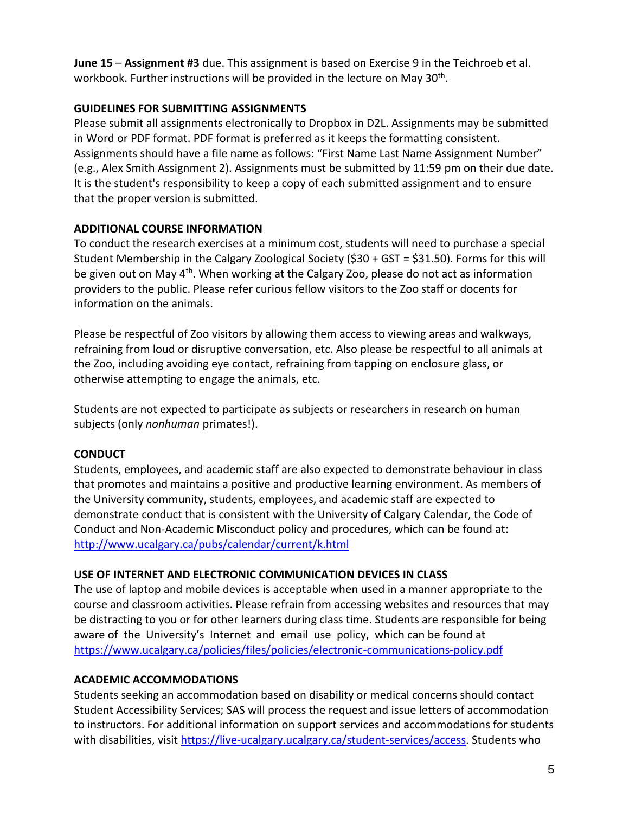**June 15** – **Assignment #3** due. This assignment is based on Exercise 9 in the Teichroeb et al. workbook. Further instructions will be provided in the lecture on May 30<sup>th</sup>.

### **GUIDELINES FOR SUBMITTING ASSIGNMENTS**

Please submit all assignments electronically to Dropbox in D2L. Assignments may be submitted in Word or PDF format. PDF format is preferred as it keeps the formatting consistent. Assignments should have a file name as follows: "First Name Last Name Assignment Number" (e.g., Alex Smith Assignment 2). Assignments must be submitted by 11:59 pm on their due date. It is the student's responsibility to keep a copy of each submitted assignment and to ensure that the proper version is submitted.

# **ADDITIONAL COURSE INFORMATION**

To conduct the research exercises at a minimum cost, students will need to purchase a special Student Membership in the Calgary Zoological Society (\$30 + GST = \$31.50). Forms for this will be given out on May 4<sup>th</sup>. When working at the Calgary Zoo, please do not act as information providers to the public. Please refer curious fellow visitors to the Zoo staff or docents for information on the animals.

Please be respectful of Zoo visitors by allowing them access to viewing areas and walkways, refraining from loud or disruptive conversation, etc. Also please be respectful to all animals at the Zoo, including avoiding eye contact, refraining from tapping on enclosure glass, or otherwise attempting to engage the animals, etc.

Students are not expected to participate as subjects or researchers in research on human subjects (only *nonhuman* primates!).

# **CONDUCT**

Students, employees, and academic staff are also expected to demonstrate behaviour in class that promotes and maintains a positive and productive learning environment. As members of the University community, students, employees, and academic staff are expected to demonstrate conduct that is consistent with the University of Calgary Calendar, the Code of Conduct and Non-Academic Misconduct policy and procedures, which can be found at: <http://www.ucalgary.ca/pubs/calendar/current/k.html>

### **USE OF INTERNET AND ELECTRONIC COMMUNICATION DEVICES IN CLASS**

The use of laptop and mobile devices is acceptable when used in a manner appropriate to the course and classroom activities. Please refrain from accessing websites and resources that may be distracting to you or for other learners during class time. Students are responsible for being aware of the University's Internet and email use policy, which can be found at <https://www.ucalgary.ca/policies/files/policies/electronic-communications-policy.pdf>

# **ACADEMIC ACCOMMODATIONS**

Students seeking an accommodation based on disability or medical concerns should contact Student Accessibility Services; SAS will process the request and issue letters of accommodation to instructors. For additional information on support services and accommodations for students with disabilities, visit [https://live-ucalgary.ucalgary.ca/student-services/access.](https://live-ucalgary.ucalgary.ca/student-services/access) Students who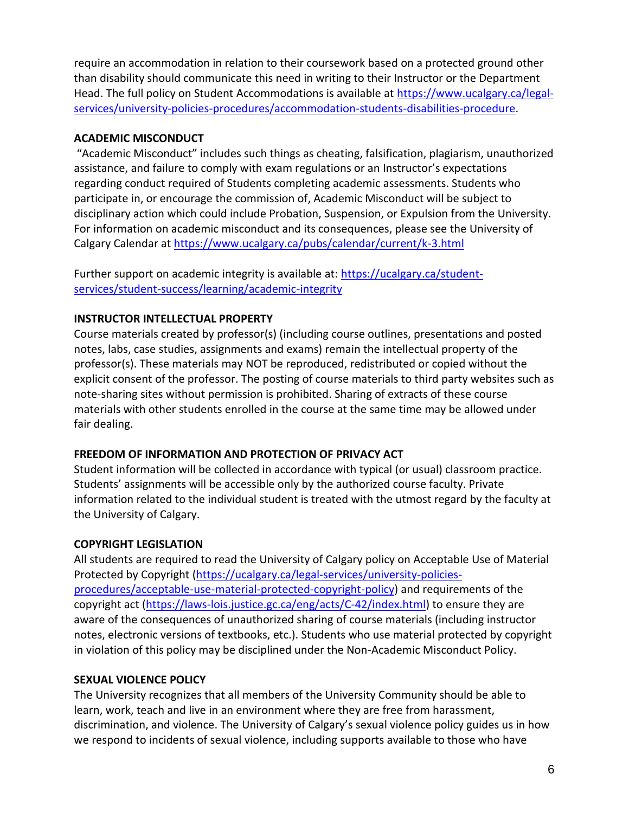require an accommodation in relation to their coursework based on a protected ground other than disability should communicate this need in writing to their Instructor or the Department Head. The full policy on Student Accommodations is available at [https://www.ucalgary.ca/legal](https://www.ucalgary.ca/legal-services/university-policies-procedures/accommodation-students-disabilities-procedure)[services/university-policies-procedures/accommodation-students-disabilities-procedure.](https://www.ucalgary.ca/legal-services/university-policies-procedures/accommodation-students-disabilities-procedure)

### **ACADEMIC MISCONDUCT**

"Academic Misconduct" includes such things as cheating, falsification, plagiarism, unauthorized assistance, and failure to comply with exam regulations or an Instructor's expectations regarding conduct required of Students completing academic assessments. Students who participate in, or encourage the commission of, Academic Misconduct will be subject to disciplinary action which could include Probation, Suspension, or Expulsion from the University. For information on academic misconduct and its consequences, please see the University of Calgary Calendar at<https://www.ucalgary.ca/pubs/calendar/current/k-3.html>

Further support on academic integrity is available at: [https://ucalgary.ca/student](https://ucalgary.ca/student-services/student-success/learning/academic-integrity)[services/student-success/learning/academic-integrity](https://ucalgary.ca/student-services/student-success/learning/academic-integrity)

# **INSTRUCTOR INTELLECTUAL PROPERTY**

Course materials created by professor(s) (including course outlines, presentations and posted notes, labs, case studies, assignments and exams) remain the intellectual property of the professor(s). These materials may NOT be reproduced, redistributed or copied without the explicit consent of the professor. The posting of course materials to third party websites such as note-sharing sites without permission is prohibited. Sharing of extracts of these course materials with other students enrolled in the course at the same time may be allowed under fair dealing.

# **FREEDOM OF INFORMATION AND PROTECTION OF PRIVACY ACT**

Student information will be collected in accordance with typical (or usual) classroom practice. Students' assignments will be accessible only by the authorized course faculty. Private information related to the individual student is treated with the utmost regard by the faculty at the University of Calgary.

# **COPYRIGHT LEGISLATION**

All students are required to read the University of Calgary policy on Acceptable Use of Material Protected by Copyright [\(https://ucalgary.ca/legal-services/university-policies](https://ucalgary.ca/legal-services/university-policies-procedures/acceptable-use-material-protected-copyright-policy)[procedures/acceptable-use-material-protected-copyright-policy\)](https://ucalgary.ca/legal-services/university-policies-procedures/acceptable-use-material-protected-copyright-policy) and requirements of the copyright act [\(https://laws-lois.justice.gc.ca/eng/acts/C-42/index.html\)](https://laws-lois.justice.gc.ca/eng/acts/C-42/index.html) to ensure they are aware of the consequences of unauthorized sharing of course materials (including instructor notes, electronic versions of textbooks, etc.). Students who use material protected by copyright in violation of this policy may be disciplined under the Non-Academic Misconduct Policy.

# **SEXUAL VIOLENCE POLICY**

The University recognizes that all members of the University Community should be able to learn, work, teach and live in an environment where they are free from harassment, discrimination, and violence. The University of Calgary's sexual violence policy guides us in how we respond to incidents of sexual violence, including supports available to those who have